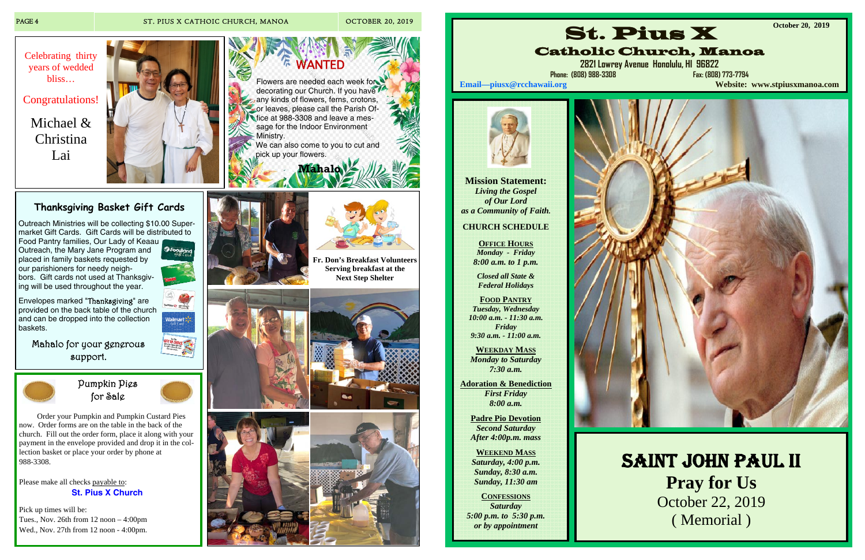

 Order your Pumpkin and Pumpkin Custard Pies now. Order forms are on the table in the back of the church. Fill out the order form, place it along with your payment in the envelope provided and drop it in the collection basket or place your order by phone at 988-3308.

Please make all checks payable to: **St. Pius X Church**

Pick up times will be: Tues., Nov. 26th from 12 noon – 4:00pm Wed., Nov. 27th from 12 noon - 4:00pm.



# **Thanksgiving Basket Gift Cards**

Outreach Ministries will be collecting \$10.00 Supermarket Gift Cards. Gift Cards will be distributed to

Food Pantry families, Our Lady of Keaau Outreach, the Mary Jane Program and placed in family baskets requested by our parishioners for needy neighbors. Gift cards not used at Thanksgiving will be used throughout the year.

Envelopes marked "Thanksgiving" are provided on the back table of the church and can be dropped into the collection baskets.



**a** Foodland

Mahalo for your generous support.



WANTED Flowers are needed each week for decorating our Church. If you have any kinds of flowers, ferns, crotons, **Cor leaves, please call the Parish Of**fice at 988-3308 and leave a message for the Indoor Environment Ministry. We can also come to you to cut and pick up your flowers.

 **Mahalo** 

# PAGE 4 ST. PIUS X CATHOIC CHURCH, MANOA OCTOBER 20, 2019



Congratulations!

Michael & Christina Lai





**Fr. Don's Breakfast Volunteers Serving breakfast at the** 















**Mission Statement:**  *Living the Gospel of Our Lord as a Community of Faith.* 

# **CHURCH SCHEDULE**

**OFFICE HOURS** *Monday - Friday 8:00 a.m. to 1 p.m.* 

*Closed all State & Federal Holidays* 

**FOOD PANTRY** *Tuesday, Wednesday 10:00 a.m. - 11:30 a.m. Friday 9:30 a.m. - 11:00 a.m.* 

**WEEKDAY MASS** *Monday to Saturday 7:30 a.m.* 

**Adoration & Benediction**  *First Friday 8:00 a.m.* 

**Padre Pio Devotion**  *Second Saturday After 4:00p.m. mass* 

**WEEKEND MASS** *Saturday, 4:00 p.m. Sunday, 8:30 a.m. Sunday, 11:30 am* 

**CONFESSIONS** *Saturday 5:00 p.m. to 5:30 p.m. or by appointment* 





# Catholic Church, Manoa

**2821 Lowrey Avenue Honolulu, HI 96822** 

**Phone: (808) 988-3308 Fax: (808) 773-7794** 

**Email—piusx@rcchawaii.org Website: www.stpiusxmanoa.com**



**October 20, 2019** 

SAINT JOHN PAUL II **Pray for Us**  October 22, 2019 ( Memorial )